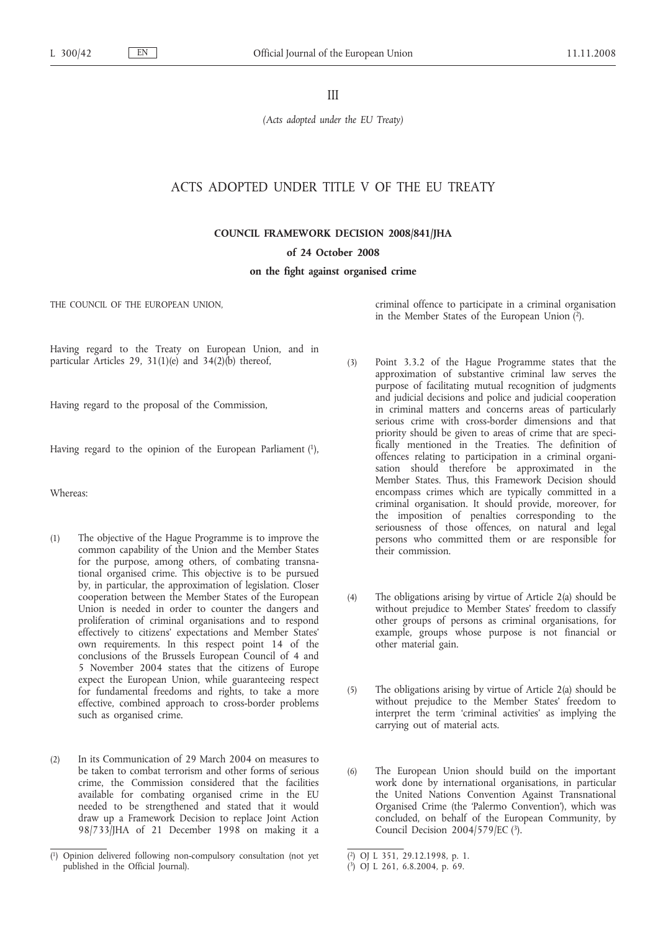III

*(Acts adopted under the EU Treaty)*

# ACTS ADOPTED UNDER TITLE V OF THE EU TREATY

**COUNCIL FRAMEWORK DECISION 2008/841/JHA**

**of 24 October 2008**

**on the fight against organised crime**

THE COUNCIL OF THE EUROPEAN UNION,

criminal offence to participate in a criminal organisation in the Member States of the European Union (2).

Having regard to the Treaty on European Union, and in particular Articles 29,  $31(1)(e)$  and  $34(2)(b)$  thereof,

Having regard to the proposal of the Commission,

Having regard to the opinion of the European Parliament (1),

Whereas:

- (1) The objective of the Hague Programme is to improve the common capability of the Union and the Member States for the purpose, among others, of combating transnational organised crime. This objective is to be pursued by, in particular, the approximation of legislation. Closer cooperation between the Member States of the European Union is needed in order to counter the dangers and proliferation of criminal organisations and to respond effectively to citizens' expectations and Member States' own requirements. In this respect point 14 of the conclusions of the Brussels European Council of 4 and 5 November 2004 states that the citizens of Europe expect the European Union, while guaranteeing respect for fundamental freedoms and rights, to take a more effective, combined approach to cross-border problems such as organised crime.
- (2) In its Communication of 29 March 2004 on measures to be taken to combat terrorism and other forms of serious crime, the Commission considered that the facilities available for combating organised crime in the EU needed to be strengthened and stated that it would draw up a Framework Decision to replace Joint Action 98/733/JHA of 21 December 1998 on making it a

(3) Point 3.3.2 of the Hague Programme states that the approximation of substantive criminal law serves the purpose of facilitating mutual recognition of judgments and judicial decisions and police and judicial cooperation in criminal matters and concerns areas of particularly serious crime with cross-border dimensions and that priority should be given to areas of crime that are specifically mentioned in the Treaties. The definition of offences relating to participation in a criminal organisation should therefore be approximated in the Member States. Thus, this Framework Decision should encompass crimes which are typically committed in a criminal organisation. It should provide, moreover, for the imposition of penalties corresponding to the seriousness of those offences, on natural and legal persons who committed them or are responsible for their commission.

- (4) The obligations arising by virtue of Article 2(a) should be without prejudice to Member States' freedom to classify other groups of persons as criminal organisations, for example, groups whose purpose is not financial or other material gain.
- (5) The obligations arising by virtue of Article 2(a) should be without prejudice to the Member States' freedom to interpret the term 'criminal activities' as implying the carrying out of material acts.
- (6) The European Union should build on the important work done by international organisations, in particular the United Nations Convention Against Transnational Organised Crime (the 'Palermo Convention'), which was concluded, on behalf of the European Community, by Council Decision 2004/579/EC (3).

<sup>(</sup> 1) Opinion delivered following non-compulsory consultation (not yet published in the Official Journal).

<sup>(</sup> 2) OJ L 351, 29.12.1998, p. 1.

<sup>(</sup> 3) OJ L 261, 6.8.2004, p. 69.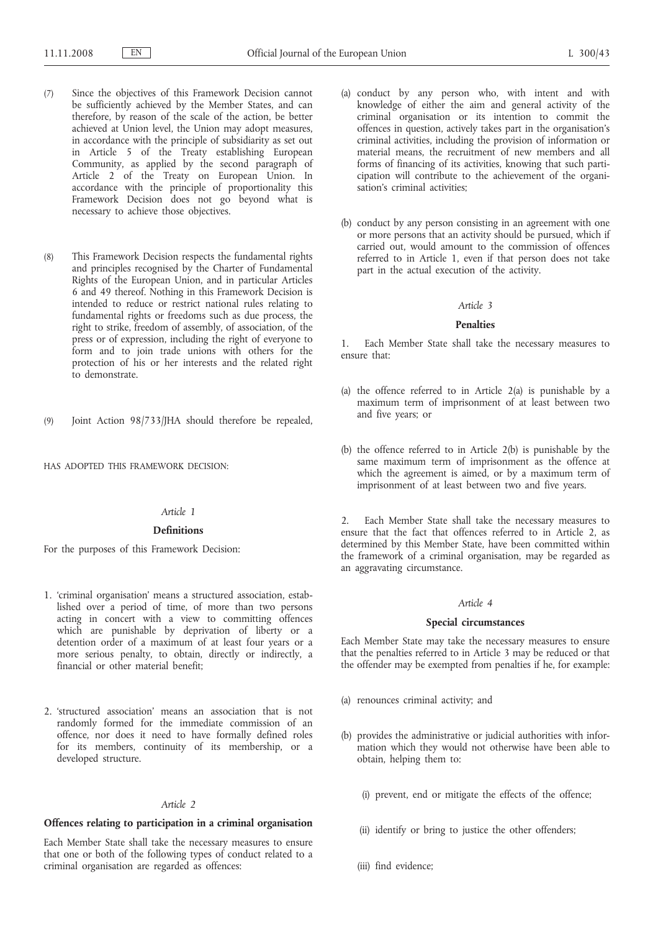- (7) Since the objectives of this Framework Decision cannot be sufficiently achieved by the Member States, and can therefore, by reason of the scale of the action, be better achieved at Union level, the Union may adopt measures, in accordance with the principle of subsidiarity as set out in Article 5 of the Treaty establishing European Community, as applied by the second paragraph of Article 2 of the Treaty on European Union. In accordance with the principle of proportionality this Framework Decision does not go beyond what is necessary to achieve those objectives.
- (8) This Framework Decision respects the fundamental rights and principles recognised by the Charter of Fundamental Rights of the European Union, and in particular Articles 6 and 49 thereof. Nothing in this Framework Decision is intended to reduce or restrict national rules relating to fundamental rights or freedoms such as due process, the right to strike, freedom of assembly, of association, of the press or of expression, including the right of everyone to form and to join trade unions with others for the protection of his or her interests and the related right to demonstrate.
- (9) Joint Action 98/733/JHA should therefore be repealed,

HAS ADOPTED THIS FRAMEWORK DECISION:

### *Article 1*

### **Definitions**

For the purposes of this Framework Decision:

- 1. 'criminal organisation' means a structured association, established over a period of time, of more than two persons acting in concert with a view to committing offences which are punishable by deprivation of liberty or a detention order of a maximum of at least four years or a more serious penalty, to obtain, directly or indirectly, a financial or other material benefit;
- 2. 'structured association' means an association that is not randomly formed for the immediate commission of an offence, nor does it need to have formally defined roles for its members, continuity of its membership, or a developed structure.

### *Article 2*

### **Offences relating to participation in a criminal organisation**

Each Member State shall take the necessary measures to ensure that one or both of the following types of conduct related to a criminal organisation are regarded as offences:

- (a) conduct by any person who, with intent and with knowledge of either the aim and general activity of the criminal organisation or its intention to commit the offences in question, actively takes part in the organisation's criminal activities, including the provision of information or material means, the recruitment of new members and all forms of financing of its activities, knowing that such participation will contribute to the achievement of the organisation's criminal activities;
- (b) conduct by any person consisting in an agreement with one or more persons that an activity should be pursued, which if carried out, would amount to the commission of offences referred to in Article 1, even if that person does not take part in the actual execution of the activity.

#### *Article 3*

### **Penalties**

1. Each Member State shall take the necessary measures to ensure that:

- (a) the offence referred to in Article 2(a) is punishable by a maximum term of imprisonment of at least between two and five years; or
- (b) the offence referred to in Article 2(b) is punishable by the same maximum term of imprisonment as the offence at which the agreement is aimed, or by a maximum term of imprisonment of at least between two and five years.

2. Each Member State shall take the necessary measures to ensure that the fact that offences referred to in Article 2, as determined by this Member State, have been committed within the framework of a criminal organisation, may be regarded as an aggravating circumstance.

# *Article 4*

# **Special circumstances**

Each Member State may take the necessary measures to ensure that the penalties referred to in Article 3 may be reduced or that the offender may be exempted from penalties if he, for example:

- (a) renounces criminal activity; and
- (b) provides the administrative or judicial authorities with information which they would not otherwise have been able to obtain, helping them to:
	- (i) prevent, end or mitigate the effects of the offence;
	- (ii) identify or bring to justice the other offenders;
	- (iii) find evidence;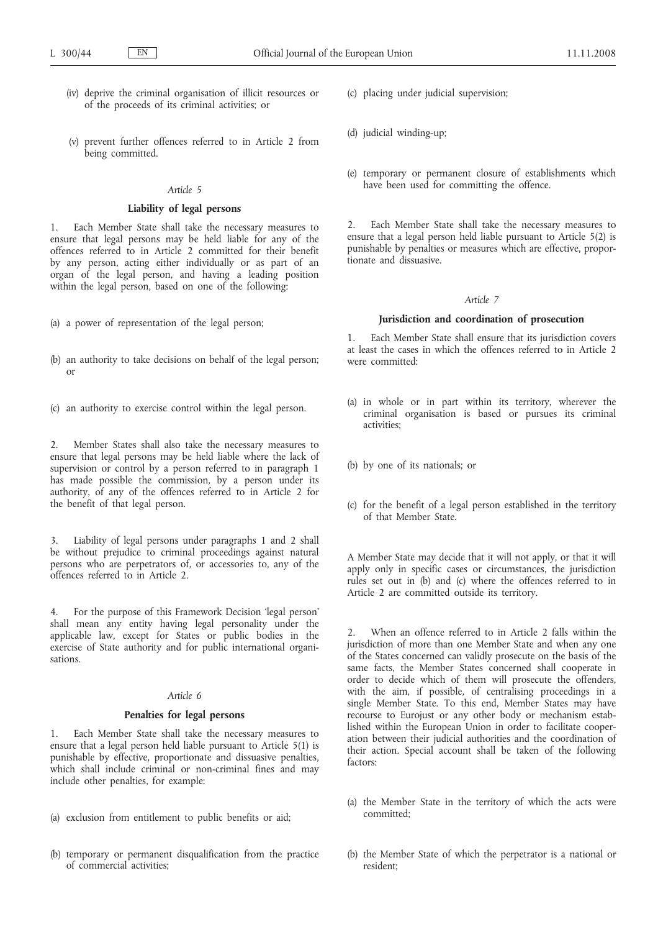- (iv) deprive the criminal organisation of illicit resources or of the proceeds of its criminal activities; or
- (v) prevent further offences referred to in Article 2 from being committed.

# *Article 5*

### **Liability of legal persons**

1. Each Member State shall take the necessary measures to ensure that legal persons may be held liable for any of the offences referred to in Article 2 committed for their benefit by any person, acting either individually or as part of an organ of the legal person, and having a leading position within the legal person, based on one of the following:

- (a) a power of representation of the legal person;
- (b) an authority to take decisions on behalf of the legal person; or
- (c) an authority to exercise control within the legal person.

2. Member States shall also take the necessary measures to ensure that legal persons may be held liable where the lack of supervision or control by a person referred to in paragraph 1 has made possible the commission, by a person under its authority, of any of the offences referred to in Article 2 for the benefit of that legal person.

Liability of legal persons under paragraphs 1 and 2 shall be without prejudice to criminal proceedings against natural persons who are perpetrators of, or accessories to, any of the offences referred to in Article 2.

4. For the purpose of this Framework Decision 'legal person' shall mean any entity having legal personality under the applicable law, except for States or public bodies in the exercise of State authority and for public international organisations.

# *Article 6*

### **Penalties for legal persons**

1. Each Member State shall take the necessary measures to ensure that a legal person held liable pursuant to Article 5(1) is punishable by effective, proportionate and dissuasive penalties, which shall include criminal or non-criminal fines and may include other penalties, for example:

- (a) exclusion from entitlement to public benefits or aid;
- (b) temporary or permanent disqualification from the practice of commercial activities;
- (c) placing under judicial supervision;
- (d) judicial winding-up;
- (e) temporary or permanent closure of establishments which have been used for committing the offence.

2. Each Member State shall take the necessary measures to ensure that a legal person held liable pursuant to Article 5(2) is punishable by penalties or measures which are effective, proportionate and dissuasive.

### *Article 7*

### **Jurisdiction and coordination of prosecution**

Each Member State shall ensure that its jurisdiction covers at least the cases in which the offences referred to in Article 2 were committed:

- (a) in whole or in part within its territory, wherever the criminal organisation is based or pursues its criminal activities;
- (b) by one of its nationals; or
- (c) for the benefit of a legal person established in the territory of that Member State.

A Member State may decide that it will not apply, or that it will apply only in specific cases or circumstances, the jurisdiction rules set out in (b) and (c) where the offences referred to in Article 2 are committed outside its territory.

2. When an offence referred to in Article 2 falls within the jurisdiction of more than one Member State and when any one of the States concerned can validly prosecute on the basis of the same facts, the Member States concerned shall cooperate in order to decide which of them will prosecute the offenders, with the aim, if possible, of centralising proceedings in a single Member State. To this end, Member States may have recourse to Eurojust or any other body or mechanism established within the European Union in order to facilitate cooperation between their judicial authorities and the coordination of their action. Special account shall be taken of the following factors:

- (a) the Member State in the territory of which the acts were committed;
- (b) the Member State of which the perpetrator is a national or resident;